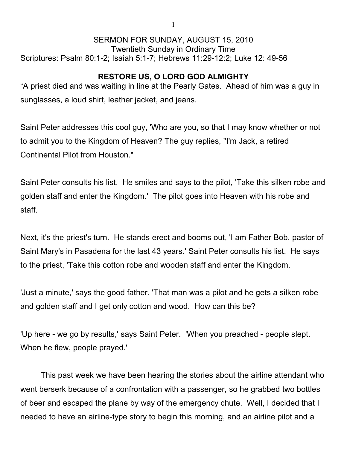## SERMON FOR SUNDAY, AUGUST 15, 2010 Twentieth Sunday in Ordinary Time Scriptures: Psalm 80:1-2; Isaiah 5:1-7; Hebrews 11:29-12:2; Luke 12: 49-56

## **RESTORE US, O LORD GOD ALMIGHTY**

"A priest died and was waiting in line at the Pearly Gates. Ahead of him was a guy in sunglasses, a loud shirt, leather jacket, and jeans.

Saint Peter addresses this cool guy, 'Who are you, so that I may know whether or not to admit you to the Kingdom of Heaven? The guy replies, "I'm Jack, a retired Continental Pilot from Houston."

Saint Peter consults his list. He smiles and says to the pilot, 'Take this silken robe and golden staff and enter the Kingdom.' The pilot goes into Heaven with his robe and staff.

Next, it's the priest's turn. He stands erect and booms out, 'I am Father Bob, pastor of Saint Mary's in Pasadena for the last 43 years.' Saint Peter consults his list. He says to the priest, 'Take this cotton robe and wooden staff and enter the Kingdom.

'Just a minute,' says the good father. 'That man was a pilot and he gets a silken robe and golden staff and I get only cotton and wood. How can this be?

'Up here - we go by results,' says Saint Peter. 'When you preached - people slept. When he flew, people prayed.'

This past week we have been hearing the stories about the airline attendant who went berserk because of a confrontation with a passenger, so he grabbed two bottles of beer and escaped the plane by way of the emergency chute. Well, I decided that I needed to have an airline-type story to begin this morning, and an airline pilot and a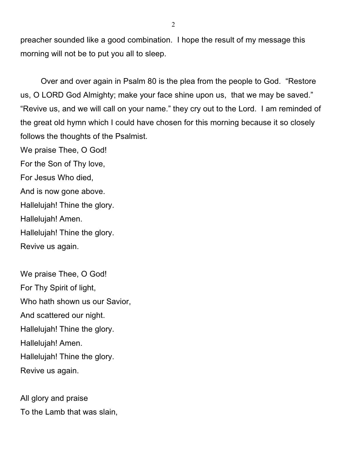preacher sounded like a good combination. I hope the result of my message this morning will not be to put you all to sleep.

Over and over again in Psalm 80 is the plea from the people to God. "Restore us, O LORD God Almighty; make your face shine upon us, that we may be saved." "Revive us, and we will call on your name." they cry out to the Lord. I am reminded of the great old hymn which I could have chosen for this morning because it so closely follows the thoughts of the Psalmist.

We praise Thee, O God! For the Son of Thy love, For Jesus Who died, And is now gone above. Hallelujah! Thine the glory. Hallelujah! Amen. Hallelujah! Thine the glory. Revive us again.

We praise Thee, O God! For Thy Spirit of light, Who hath shown us our Savior, And scattered our night. Hallelujah! Thine the glory. Hallelujah! Amen. Hallelujah! Thine the glory. Revive us again.

All glory and praise To the Lamb that was slain,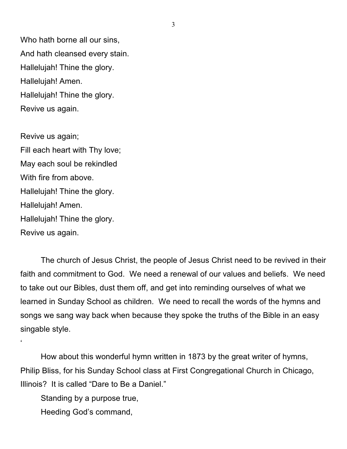Who hath borne all our sins, And hath cleansed every stain. Hallelujah! Thine the glory. Hallelujah! Amen. Hallelujah! Thine the glory. Revive us again.

Revive us again; Fill each heart with Thy love; May each soul be rekindled With fire from above. Hallelujah! Thine the glory. Hallelujah! Amen. Hallelujah! Thine the glory. Revive us again.

'

The church of Jesus Christ, the people of Jesus Christ need to be revived in their faith and commitment to God. We need a renewal of our values and beliefs. We need to take out our Bibles, dust them off, and get into reminding ourselves of what we learned in Sunday School as children. We need to recall the words of the hymns and songs we sang way back when because they spoke the truths of the Bible in an easy singable style.

How about this wonderful hymn written in 1873 by the great writer of hymns, Philip Bliss, for his Sunday School class at First Congregational Church in Chicago, Illinois? It is called "Dare to Be a Daniel."

Standing by a purpose true, Heeding God's command,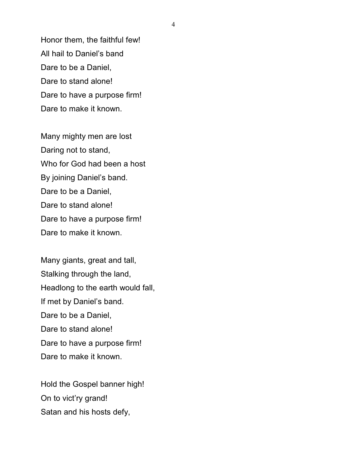Honor them, the faithful few! All hail to Daniel's band Dare to be a Daniel, Dare to stand alone! Dare to have a purpose firm! Dare to make it known.

Many mighty men are lost Daring not to stand, Who for God had been a host By joining Daniel's band. Dare to be a Daniel, Dare to stand alone! Dare to have a purpose firm! Dare to make it known.

Many giants, great and tall, Stalking through the land, Headlong to the earth would fall, If met by Daniel's band. Dare to be a Daniel, Dare to stand alone! Dare to have a purpose firm! Dare to make it known.

Hold the Gospel banner high! On to vict'ry grand! Satan and his hosts defy,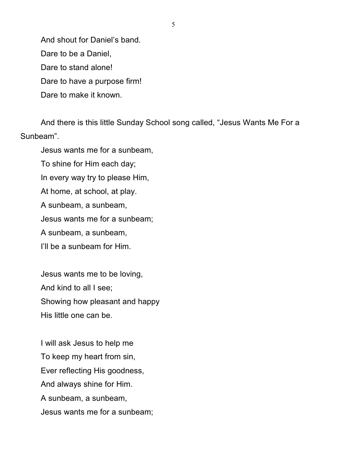And shout for Daniel's band.

Dare to be a Daniel,

Dare to stand alone!

Dare to have a purpose firm!

Dare to make it known.

And there is this little Sunday School song called, "Jesus Wants Me For a Sunbeam".

Jesus wants me for a sunbeam, To shine for Him each day; In every way try to please Him, At home, at school, at play. A sunbeam, a sunbeam, Jesus wants me for a sunbeam; A sunbeam, a sunbeam, I'll be a sunbeam for Him.

Jesus wants me to be loving, And kind to all I see; Showing how pleasant and happy His little one can be.

I will ask Jesus to help me To keep my heart from sin, Ever reflecting His goodness, And always shine for Him. A sunbeam, a sunbeam, Jesus wants me for a sunbeam;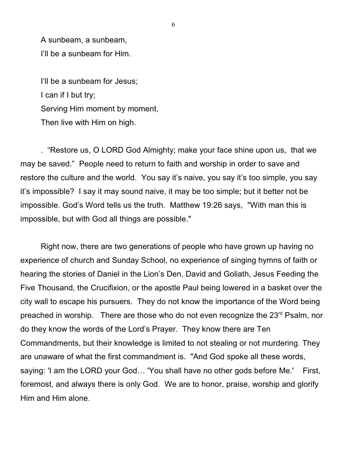A sunbeam, a sunbeam, I'll be a sunbeam for Him.

I'll be a sunbeam for Jesus; I can if I but try; Serving Him moment by moment, Then live with Him on high.

. "Restore us, O LORD God Almighty; make your face shine upon us, that we may be saved." People need to return to faith and worship in order to save and restore the culture and the world. You say it's naive, you say it's too simple, you say it's impossible? I say it may sound naive, it may be too simple; but it better not be impossible. God's Word tells us the truth. Matthew 19:26 says, "With man this is impossible, but with God all things are possible."

Right now, there are two generations of people who have grown up having no experience of church and Sunday School, no experience of singing hymns of faith or hearing the stories of Daniel in the Lion's Den, David and Goliath, Jesus Feeding the Five Thousand, the Crucifixion, or the apostle Paul being lowered in a basket over the city wall to escape his pursuers. They do not know the importance of the Word being preached in worship. There are those who do not even recognize the 23<sup>rd</sup> Psalm, nor do they know the words of the Lord's Prayer. They know there are Ten Commandments, but their knowledge is limited to not stealing or not murdering. They are unaware of what the first commandment is. "And God spoke all these words, saying: 'I am the LORD your God… 'You shall have no other gods before Me.' First, foremost, and always there is only God. We are to honor, praise, worship and glorify Him and Him alone.

6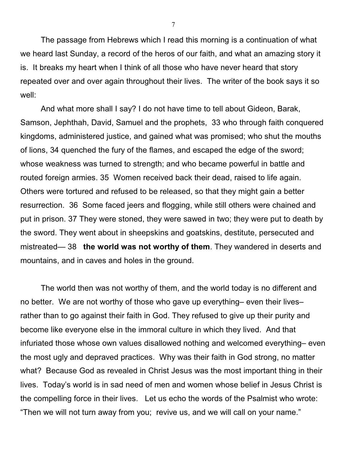The passage from Hebrews which I read this morning is a continuation of what we heard last Sunday, a record of the heros of our faith, and what an amazing story it is. It breaks my heart when I think of all those who have never heard that story repeated over and over again throughout their lives. The writer of the book says it so well:

And what more shall I say? I do not have time to tell about Gideon, Barak, Samson, Jephthah, David, Samuel and the prophets, 33 who through faith conquered kingdoms, administered justice, and gained what was promised; who shut the mouths of lions, 34 quenched the fury of the flames, and escaped the edge of the sword; whose weakness was turned to strength; and who became powerful in battle and routed foreign armies. 35 Women received back their dead, raised to life again. Others were tortured and refused to be released, so that they might gain a better resurrection. 36 Some faced jeers and flogging, while still others were chained and put in prison. 37 They were stoned, they were sawed in two; they were put to death by the sword. They went about in sheepskins and goatskins, destitute, persecuted and mistreated— 38 **the world was not worthy of them**. They wandered in deserts and mountains, and in caves and holes in the ground.

The world then was not worthy of them, and the world today is no different and no better. We are not worthy of those who gave up everything– even their lives– rather than to go against their faith in God. They refused to give up their purity and become like everyone else in the immoral culture in which they lived. And that infuriated those whose own values disallowed nothing and welcomed everything– even the most ugly and depraved practices. Why was their faith in God strong, no matter what? Because God as revealed in Christ Jesus was the most important thing in their lives. Today's world is in sad need of men and women whose belief in Jesus Christ is the compelling force in their lives. Let us echo the words of the Psalmist who wrote: "Then we will not turn away from you; revive us, and we will call on your name."

7